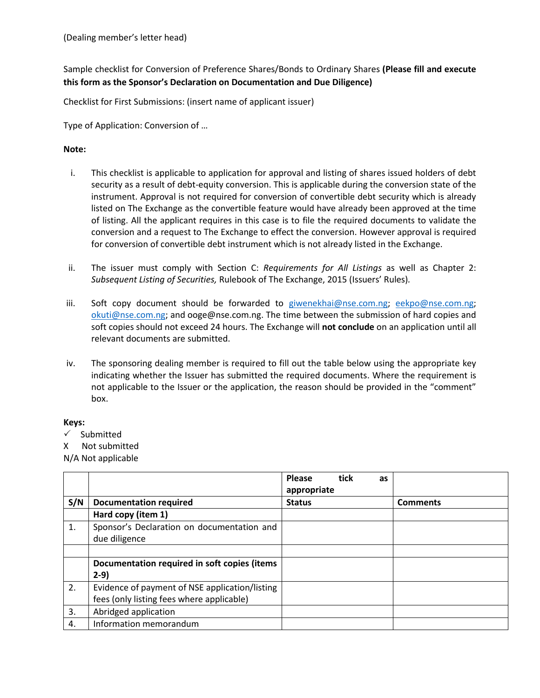Sample checklist for Conversion of Preference Shares/Bonds to Ordinary Shares **(Please fill and execute this form as the Sponsor's Declaration on Documentation and Due Diligence)**

Checklist for First Submissions: (insert name of applicant issuer)

Type of Application: Conversion of …

## **Note:**

- i. This checklist is applicable to application for approval and listing of shares issued holders of debt security as a result of debt-equity conversion. This is applicable during the conversion state of the instrument. Approval is not required for conversion of convertible debt security which is already listed on The Exchange as the convertible feature would have already been approved at the time of listing. All the applicant requires in this case is to file the required documents to validate the conversion and a request to The Exchange to effect the conversion. However approval is required for conversion of convertible debt instrument which is not already listed in the Exchange.
- ii. The issuer must comply with Section C: *Requirements for All Listings* as well as Chapter 2: *Subsequent Listing of Securities,* Rulebook of The Exchange, 2015 (Issuers' Rules)*.*
- iii. Soft copy document should be forwarded to [giwenekhai@nse.com.ng;](mailto:giwenekhai@nse.com.ng) [eekpo@nse.com.ng;](mailto:eekpo@nse.com.ng) [okuti@nse.com.ng;](mailto:okuti@nse.com.ng) and ooge@nse.com.ng. The time between the submission of hard copies and soft copies should not exceed 24 hours. The Exchange will **not conclude** on an application until all relevant documents are submitted.
- iv. The sponsoring dealing member is required to fill out the table below using the appropriate key indicating whether the Issuer has submitted the required documents. Where the requirement is not applicable to the Issuer or the application, the reason should be provided in the "comment" box.

## **Keys:**

- $\checkmark$  Submitted
- X Not submitted

N/A Not applicable

|     |                                                | <b>Please</b><br>appropriate | tick<br>as |                 |
|-----|------------------------------------------------|------------------------------|------------|-----------------|
| S/N | <b>Documentation required</b>                  | <b>Status</b>                |            | <b>Comments</b> |
|     | Hard copy (item 1)                             |                              |            |                 |
| 1.  | Sponsor's Declaration on documentation and     |                              |            |                 |
|     | due diligence                                  |                              |            |                 |
|     |                                                |                              |            |                 |
|     | Documentation required in soft copies (items   |                              |            |                 |
|     | $2-9)$                                         |                              |            |                 |
| 2.  | Evidence of payment of NSE application/listing |                              |            |                 |
|     | fees (only listing fees where applicable)      |                              |            |                 |
| 3.  | Abridged application                           |                              |            |                 |
| 4.  | Information memorandum                         |                              |            |                 |